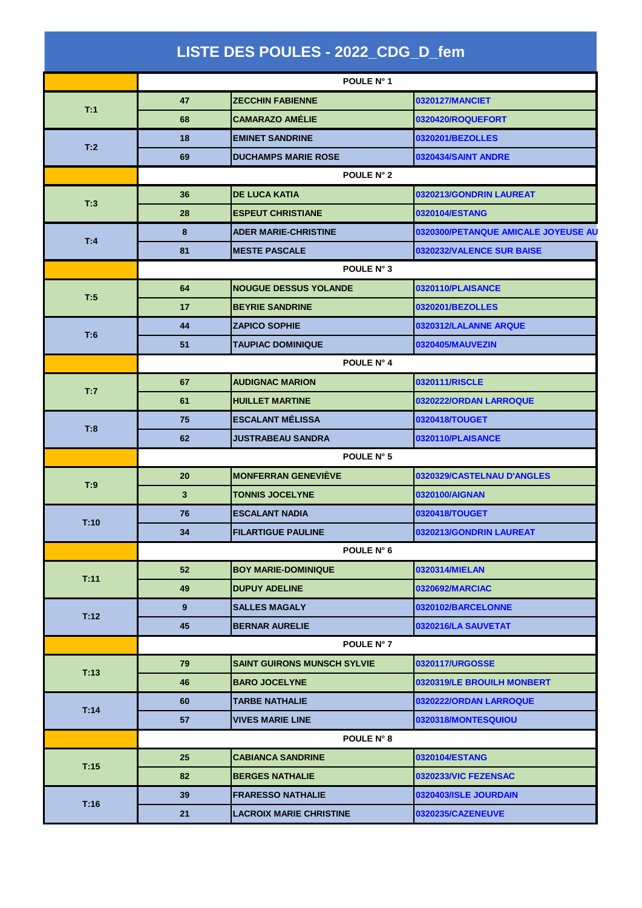|      |              | LISTE DES POULES - 2022_CDG_D_fem  |                                     |  |  |  |
|------|--------------|------------------------------------|-------------------------------------|--|--|--|
|      | POULE N° 1   |                                    |                                     |  |  |  |
|      | 47           | <b>ZECCHIN FABIENNE</b>            | 0320127/MANCIET                     |  |  |  |
| T:1  | 68           | <b>CAMARAZO AMÉLIE</b>             | 0320420/ROQUEFORT                   |  |  |  |
|      | 18           | <b>EMINET SANDRINE</b>             | 0320201/BEZOLLES                    |  |  |  |
| T:2  | 69           | <b>DUCHAMPS MARIE ROSE</b>         | 0320434/SAINT ANDRE                 |  |  |  |
|      |              | POULE N° 2                         |                                     |  |  |  |
|      | 36           | <b>DE LUCA KATIA</b>               | 0320213/GONDRIN LAUREAT             |  |  |  |
| T:3  | 28           | <b>ESPEUT CHRISTIANE</b>           | 0320104/ESTANG                      |  |  |  |
| T:4  | 8            | <b>ADER MARIE-CHRISTINE</b>        | 0320300/PETANQUE AMICALE JOYEUSE AU |  |  |  |
|      | 81           | <b>MESTE PASCALE</b>               | 0320232/VALENCE SUR BAISE           |  |  |  |
|      |              | POULE N° 3                         |                                     |  |  |  |
|      | 64           | <b>NOUGUE DESSUS YOLANDE</b>       | 0320110/PLAISANCE                   |  |  |  |
| T:5  | 17           | <b>BEYRIE SANDRINE</b>             | 0320201/BEZOLLES                    |  |  |  |
|      | 44           | <b>ZAPICO SOPHIE</b>               | 0320312/LALANNE ARQUE               |  |  |  |
| T:6  | 51           | <b>TAUPIAC DOMINIQUE</b>           | 0320405/MAUVEZIN                    |  |  |  |
|      |              | POULE N° 4                         |                                     |  |  |  |
|      | 67           | <b>AUDIGNAC MARION</b>             | 0320111/RISCLE                      |  |  |  |
| T:7  | 61           | <b>HUILLET MARTINE</b>             | 0320222/ORDAN LARROQUE              |  |  |  |
|      | 75           | <b>ESCALANT MÉLISSA</b>            | 0320418/TOUGET                      |  |  |  |
| T:8  | 62           | JUSTRABEAU SANDRA                  | 0320110/PLAISANCE                   |  |  |  |
|      |              | POULE N° 5                         |                                     |  |  |  |
|      | 20           | <b>MONFERRAN GENEVIÈVE</b>         | 0320329/CASTELNAU D'ANGLES          |  |  |  |
| T:9  | $\mathbf{3}$ | <b>TONNIS JOCELYNE</b>             | 0320100/AIGNAN                      |  |  |  |
|      | 76           | <b>ESCALANT NADIA</b>              | 0320418/TOUGET                      |  |  |  |
| T:10 | 34           | <b>FILARTIGUE PAULINE</b>          | 0320213/GONDRIN LAUREAT             |  |  |  |
|      |              | POULE N° 6                         |                                     |  |  |  |
|      | 52           | <b>BOY MARIE-DOMINIQUE</b>         | 0320314/MIELAN                      |  |  |  |
| T:11 | 49           | <b>DUPUY ADELINE</b>               | 0320692/MARCIAC                     |  |  |  |
|      | $9^{\circ}$  | <b>SALLES MAGALY</b>               | 0320102/BARCELONNE                  |  |  |  |
| T:12 | 45           | <b>BERNAR AURELIE</b>              | 0320216/LA SAUVETAT                 |  |  |  |
|      |              | POULE N° 7                         |                                     |  |  |  |
|      | 79           | <b>SAINT GUIRONS MUNSCH SYLVIE</b> | 0320117/URGOSSE                     |  |  |  |
| T:13 | 46           | <b>BARO JOCELYNE</b>               | 0320319/LE BROUILH MONBERT          |  |  |  |
|      | 60           | TARBE NATHALIE                     | 0320222/ORDAN LARROQUE              |  |  |  |
| T:14 | 57           | <b>VIVES MARIE LINE</b>            | 0320318/MONTESQUIOU                 |  |  |  |
|      |              | <b>POULE N° 8</b>                  |                                     |  |  |  |
|      | 25           | <b>CABIANCA SANDRINE</b>           | 0320104/ESTANG                      |  |  |  |
| T:15 | 82           | <b>BERGES NATHALIE</b>             | 0320233/VIC FEZENSAC                |  |  |  |
| T:16 | 39           | <b>FRARESSO NATHALIE</b>           | 0320403/ISLE JOURDAIN               |  |  |  |
|      | 21           | <b>LACROIX MARIE CHRISTINE</b>     | 0320235/CAZENEUVE                   |  |  |  |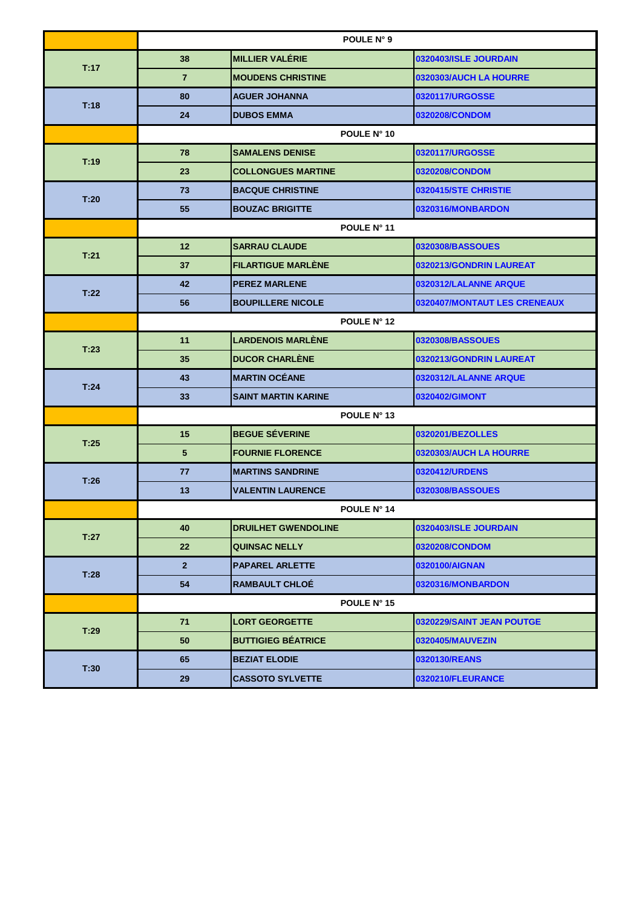|      | POULE N° 9      |                            |                              |  |  |
|------|-----------------|----------------------------|------------------------------|--|--|
| T:17 | 38              | <b>MILLIER VALÉRIE</b>     | 0320403/ISLE JOURDAIN        |  |  |
|      | $\overline{7}$  | <b>MOUDENS CHRISTINE</b>   | 0320303/AUCH LA HOURRE       |  |  |
| T:18 | 80              | <b>AGUER JOHANNA</b>       | 0320117/URGOSSE              |  |  |
|      | 24              | <b>DUBOS EMMA</b>          | 0320208/CONDOM               |  |  |
|      |                 | POULE N° 10                |                              |  |  |
| T:19 | 78              | <b>SAMALENS DENISE</b>     | 0320117/URGOSSE              |  |  |
|      | 23              | <b>COLLONGUES MARTINE</b>  | 0320208/CONDOM               |  |  |
| T:20 | 73              | <b>BACQUE CHRISTINE</b>    | 0320415/STE CHRISTIE         |  |  |
|      | 55              | <b>BOUZAC BRIGITTE</b>     | 0320316/MONBARDON            |  |  |
|      | POULE N° 11     |                            |                              |  |  |
| T:21 | 12              | <b>SARRAU CLAUDE</b>       | 0320308/BASSOUES             |  |  |
|      | 37              | <b>FILARTIGUE MARLÈNE</b>  | 0320213/GONDRIN LAUREAT      |  |  |
| T:22 | 42              | <b>PEREZ MARLENE</b>       | 0320312/LALANNE ARQUE        |  |  |
|      | 56              | <b>BOUPILLERE NICOLE</b>   | 0320407/MONTAUT LES CRENEAUX |  |  |
|      | POULE N° 12     |                            |                              |  |  |
| T:23 | 11              | <b>LARDENOIS MARLÉNE</b>   | 0320308/BASSOUES             |  |  |
|      | 35              | <b>DUCOR CHARLÈNE</b>      | 0320213/GONDRIN LAUREAT      |  |  |
| T:24 | 43              | <b>MARTIN OCÉANE</b>       | 0320312/LALANNE ARQUE        |  |  |
|      | 33              | <b>SAINT MARTIN KARINE</b> | 0320402/GIMONT               |  |  |
|      | POULE N° 13     |                            |                              |  |  |
|      | 15              | <b>BEGUE SÉVERINE</b>      | 0320201/BEZOLLES             |  |  |
| T:25 | $5\phantom{.0}$ | <b>FOURNIE FLORENCE</b>    | 0320303/AUCH LA HOURRE       |  |  |
| T:26 | 77              | <b>MARTINS SANDRINE</b>    | 0320412/URDENS               |  |  |
|      | 13              | <b>VALENTIN LAURENCE</b>   | 0320308/BASSOUES             |  |  |
|      |                 | POULE N° 14                |                              |  |  |
| T:27 | 40              | <b>DRUILHET GWENDOLINE</b> | 0320403/ISLE JOURDAIN        |  |  |
|      | 22              | <b>QUINSAC NELLY</b>       | 0320208/CONDOM               |  |  |
| T:28 | $\overline{2}$  | <b>PAPAREL ARLETTE</b>     | 0320100/AIGNAN               |  |  |
|      | 54              | <b>RAMBAULT CHLOE</b>      | 0320316/MONBARDON            |  |  |
|      |                 | POULE N° 15                |                              |  |  |
| T:29 | 71              | <b>LORT GEORGETTE</b>      | 0320229/SAINT JEAN POUTGE    |  |  |
|      | 50              | <b>BUTTIGIEG BÉATRICE</b>  | 0320405/MAUVEZIN             |  |  |
| T:30 | 65              | <b>BEZIAT ELODIE</b>       | 0320130/REANS                |  |  |
|      | 29              | <b>CASSOTO SYLVETTE</b>    | 0320210/FLEURANCE            |  |  |